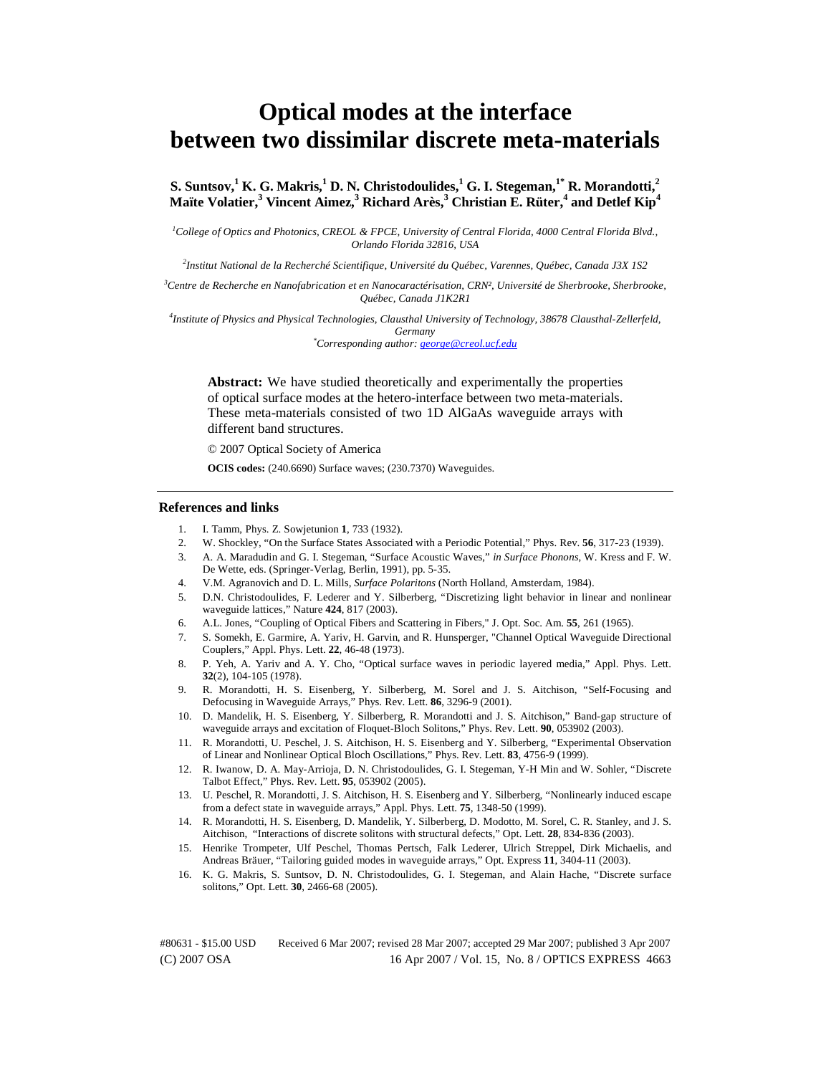# **Optical modes at the interface between two dissimilar discrete meta-materials**

**S. Suntsov,1 K. G. Makris,<sup>1</sup> D. N. Christodoulides,1 G. I. Stegeman,1\* R. Morandotti,2**  $M$ aïte Volatier, $^3$  Vincent Aimez, $^3$  Richard Arès, $^3$  Christian E. Rüter, $^4$  and Detlef Kip $^4$ 

<sup>1</sup>College of Optics and Photonics, CREOL & FPCE, University of Central Florida, 4000 Central Florida Blvd., *Orlando Florida 32816, USA* 

*2 Institut National de la Recherché Scientifique, Université du Québec, Varennes, Québec, Canada J3X 1S2* 

*3 Centre de Recherche en Nanofabrication et en Nanocaractérisation, CRN², Université de Sherbrooke, Sherbrooke, Québec, Canada J1K2R1* 

*4 Institute of Physics and Physical Technologies, Clausthal University of Technology, 38678 Clausthal-Zellerfeld, Germany \* Corresponding author: george@creol.ucf.edu*

**Abstract:** We have studied theoretically and experimentally the properties of optical surface modes at the hetero-interface between two meta-materials. These meta-materials consisted of two 1D AlGaAs waveguide arrays with different band structures.

© 2007 Optical Society of America

**OCIS codes:** (240.6690) Surface waves; (230.7370) Waveguides.

#### **References and links**

- 1. I. Tamm, Phys. Z. Sowjetunion **1**, 733 (1932).
- 2. W. Shockley, "On the Surface States Associated with a Periodic Potential," Phys. Rev. **56**, 317-23 (1939).
- 3. A. A. Maradudin and G. I. Stegeman, "Surface Acoustic Waves," *in Surface Phonons*, W. Kress and F. W. De Wette, eds. (Springer-Verlag, Berlin, 1991), pp. 5-35.
- 4. V.M. Agranovich and D. L. Mills, *Surface Polaritons* (North Holland, Amsterdam, 1984).
- 5. D.N. Christodoulides, F. Lederer and Y. Silberberg, "Discretizing light behavior in linear and nonlinear waveguide lattices," Nature **424**, 817 (2003).
- 6. A.L. Jones, "Coupling of Optical Fibers and Scattering in Fibers," J. Opt. Soc. Am. **55**, 261 (1965).
- 7. S. Somekh, E. Garmire, A. Yariv, H. Garvin, and R. Hunsperger, "Channel Optical Waveguide Directional Couplers," Appl. Phys. Lett. **22**, 46-48 (1973).
- 8. P. Yeh, A. Yariv and A. Y. Cho, "Optical surface waves in periodic layered media," Appl. Phys. Lett. **32**(2), 104-105 (1978).
- 9. R. Morandotti, H. S. Eisenberg, Y. Silberberg, M. Sorel and J. S. Aitchison, "Self-Focusing and Defocusing in Waveguide Arrays," Phys. Rev. Lett. **86**, 3296-9 (2001).
- 10. D. Mandelik, H. S. Eisenberg, Y. Silberberg, R. Morandotti and J. S. Aitchison," Band-gap structure of waveguide arrays and excitation of Floquet-Bloch Solitons," Phys. Rev. Lett. **90**, 053902 (2003).
- 11. R. Morandotti, U. Peschel, J. S. Aitchison, H. S. Eisenberg and Y. Silberberg, "Experimental Observation of Linear and Nonlinear Optical Bloch Oscillations," Phys. Rev. Lett. **83**, 4756-9 (1999).
- 12. R. Iwanow, D. A. May-Arrioja, D. N. Christodoulides, G. I. Stegeman, Y-H Min and W. Sohler, "Discrete Talbot Effect," Phys. Rev. Lett. **95**, 053902 (2005).
- 13. U. Peschel, R. Morandotti, J. S. Aitchison, H. S. Eisenberg and Y. Silberberg, "Nonlinearly induced escape from a defect state in waveguide arrays," Appl. Phys. Lett. **75**, 1348-50 (1999).
- 14. R. Morandotti, H. S. Eisenberg, D. Mandelik, Y. Silberberg, D. Modotto, M. Sorel, C. R. Stanley, and J. S. Aitchison, "Interactions of discrete solitons with structural defects," Opt. Lett. **28**, 834-836 (2003).
- 15. Henrike Trompeter, Ulf Peschel, Thomas Pertsch, Falk Lederer, Ulrich Streppel, Dirk Michaelis, and Andreas Bräuer, "Tailoring guided modes in waveguide arrays," Opt. Express **11**, 3404-11 (2003).
- 16. K. G. Makris, S. Suntsov, D. N. Christodoulides, G. I. Stegeman, and Alain Hache, "Discrete surface solitons," Opt. Lett. **30**, 2466-68 (2005).

(C) 2007 OSA 16 Apr 2007 / Vol. 15, No. 8 / OPTICS EXPRESS 4663 #80631 - \$15.00 USD Received 6 Mar 2007; revised 28 Mar 2007; accepted 29 Mar 2007; published 3 Apr 2007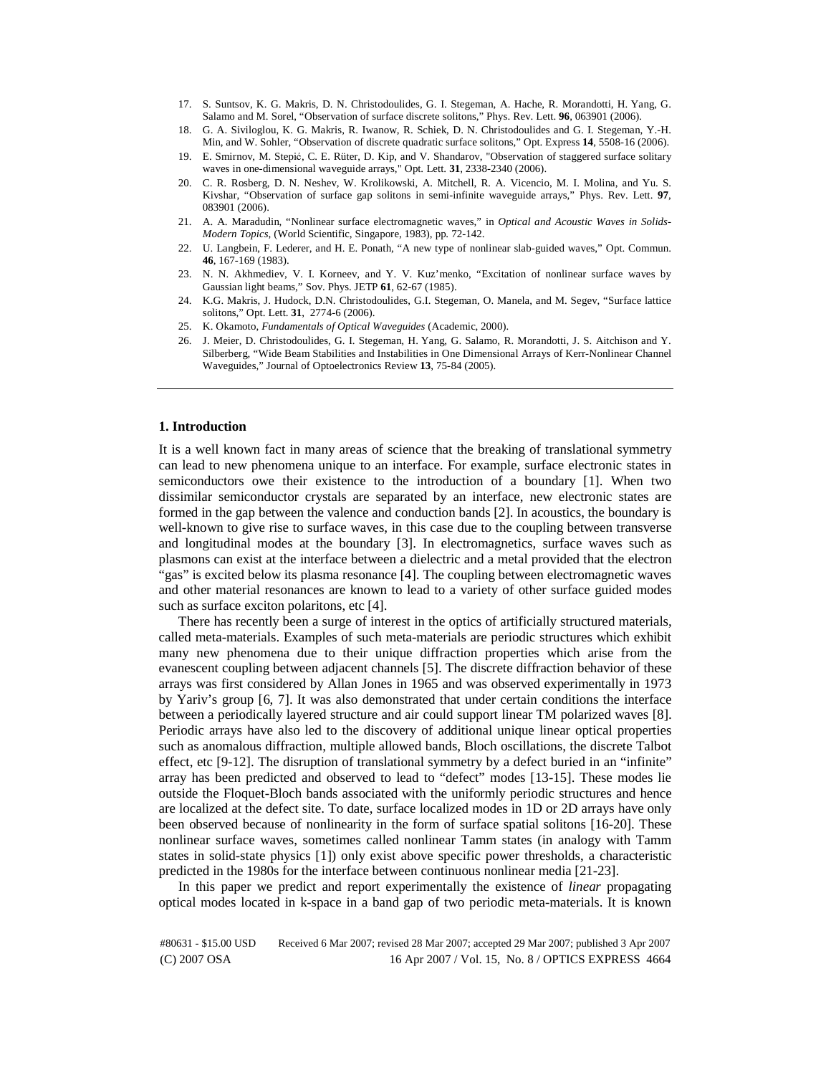- 17. S. Suntsov, K. G. Makris, D. N. Christodoulides, G. I. Stegeman, A. Hache, R. Morandotti, H. Yang, G. Salamo and M. Sorel, "Observation of surface discrete solitons," Phys. Rev. Lett. **96**, 063901 (2006).
- 18. G. A. Siviloglou, K. G. Makris, R. Iwanow, R. Schiek, D. N. Christodoulides and G. I. Stegeman, Y.-H. Min, and W. Sohler, "Observation of discrete quadratic surface solitons," Opt. Express **14**, 5508-16 (2006).
- 19. E. Smirnov, M. Stepić, C. E. Rüter, D. Kip, and V. Shandarov, "Observation of staggered surface solitary waves in one-dimensional waveguide arrays," Opt. Lett. **31**, 2338-2340 (2006).
- 20. C. R. Rosberg, D. N. Neshev, W. Krolikowski, A. Mitchell, R. A. Vicencio, M. I. Molina, and Yu. S. Kivshar, "Observation of surface gap solitons in semi-infinite waveguide arrays," Phys. Rev. Lett. **97**, 083901 (2006).
- 21. A. A. Maradudin, "Nonlinear surface electromagnetic waves," in *Optical and Acoustic Waves in Solids-Modern Topics*, (World Scientific, Singapore, 1983), pp. 72-142.
- 22. U. Langbein, F. Lederer, and H. E. Ponath, "A new type of nonlinear slab-guided waves," Opt. Commun. **46**, 167-169 (1983).
- 23. N. N. Akhmediev, V. I. Korneev, and Y. V. Kuz'menko, "Excitation of nonlinear surface waves by Gaussian light beams," Sov. Phys. JETP **61**, 62-67 (1985).
- 24. K.G. Makris, J. Hudock, D.N. Christodoulides, G.I. Stegeman, O. Manela, and M. Segev, "Surface lattice solitons," Opt. Lett. **31**, 2774-6 (2006).
- 25. K. Okamoto, *Fundamentals of Optical Waveguides* (Academic, 2000).
- 26. J. Meier, D. Christodoulides, G. I. Stegeman, H. Yang, G. Salamo, R. Morandotti, J. S. Aitchison and Y. Silberberg, "Wide Beam Stabilities and Instabilities in One Dimensional Arrays of Kerr-Nonlinear Channel Waveguides," Journal of Optoelectronics Review **13**, 75-84 (2005).

# **1. Introduction**

It is a well known fact in many areas of science that the breaking of translational symmetry can lead to new phenomena unique to an interface. For example, surface electronic states in semiconductors owe their existence to the introduction of a boundary [1]. When two dissimilar semiconductor crystals are separated by an interface, new electronic states are formed in the gap between the valence and conduction bands [2]. In acoustics, the boundary is well-known to give rise to surface waves, in this case due to the coupling between transverse and longitudinal modes at the boundary [3]. In electromagnetics, surface waves such as plasmons can exist at the interface between a dielectric and a metal provided that the electron "gas" is excited below its plasma resonance [4]. The coupling between electromagnetic waves and other material resonances are known to lead to a variety of other surface guided modes such as surface exciton polaritons, etc [4].

There has recently been a surge of interest in the optics of artificially structured materials, called meta-materials. Examples of such meta-materials are periodic structures which exhibit many new phenomena due to their unique diffraction properties which arise from the evanescent coupling between adjacent channels [5]. The discrete diffraction behavior of these arrays was first considered by Allan Jones in 1965 and was observed experimentally in 1973 by Yariv's group [6, 7]. It was also demonstrated that under certain conditions the interface between a periodically layered structure and air could support linear TM polarized waves [8]. Periodic arrays have also led to the discovery of additional unique linear optical properties such as anomalous diffraction, multiple allowed bands, Bloch oscillations, the discrete Talbot effect, etc [9-12]. The disruption of translational symmetry by a defect buried in an "infinite" array has been predicted and observed to lead to "defect" modes [13-15]. These modes lie outside the Floquet-Bloch bands associated with the uniformly periodic structures and hence are localized at the defect site. To date, surface localized modes in 1D or 2D arrays have only been observed because of nonlinearity in the form of surface spatial solitons [16-20]. These nonlinear surface waves, sometimes called nonlinear Tamm states (in analogy with Tamm states in solid-state physics [1]) only exist above specific power thresholds, a characteristic predicted in the 1980s for the interface between continuous nonlinear media [21-23].

In this paper we predict and report experimentally the existence of *linear* propagating optical modes located in k-space in a band gap of two periodic meta-materials. It is known

(C) 2007 OSA 16 Apr 2007 / Vol. 15, No. 8 / OPTICS EXPRESS 4664 #80631 - \$15.00 USD Received 6 Mar 2007; revised 28 Mar 2007; accepted 29 Mar 2007; published 3 Apr 2007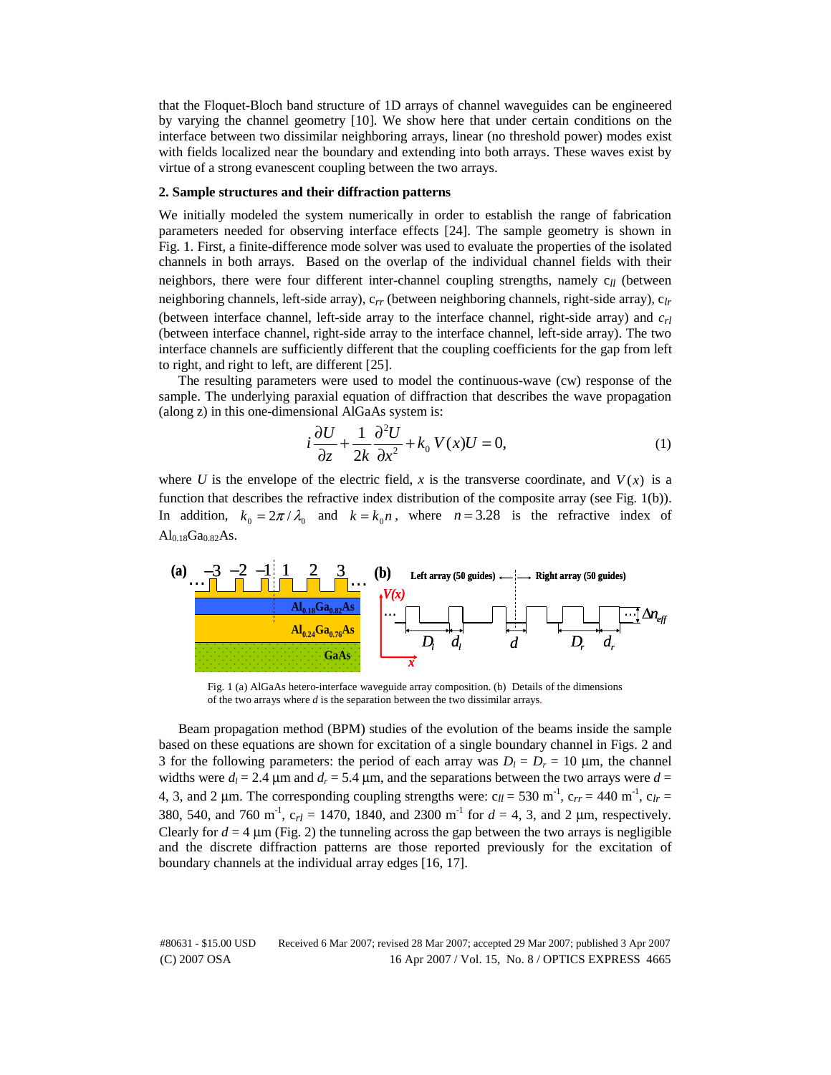that the Floquet-Bloch band structure of 1D arrays of channel waveguides can be engineered by varying the channel geometry [10]. We show here that under certain conditions on the interface between two dissimilar neighboring arrays, linear (no threshold power) modes exist with fields localized near the boundary and extending into both arrays. These waves exist by virtue of a strong evanescent coupling between the two arrays.

## **2. Sample structures and their diffraction patterns**

We initially modeled the system numerically in order to establish the range of fabrication parameters needed for observing interface effects [24]. The sample geometry is shown in Fig. 1. First, a finite-difference mode solver was used to evaluate the properties of the isolated channels in both arrays. Based on the overlap of the individual channel fields with their neighbors, there were four different inter-channel coupling strengths, namely c<sub>ll</sub> (between neighboring channels, left-side array), c*rr* (between neighboring channels, right-side array), c*lr* (between interface channel, left-side array to the interface channel, right-side array) and *crl* (between interface channel, right-side array to the interface channel, left-side array). The two interface channels are sufficiently different that the coupling coefficients for the gap from left to right, and right to left, are different [25].

The resulting parameters were used to model the continuous-wave (cw) response of the sample. The underlying paraxial equation of diffraction that describes the wave propagation (along z) in this one-dimensional AlGaAs system is:

$$
i\frac{\partial U}{\partial z} + \frac{1}{2k} \frac{\partial^2 U}{\partial x^2} + k_0 V(x)U = 0,
$$
\n(1)

where *U* is the envelope of the electric field, *x* is the transverse coordinate, and  $V(x)$  is a function that describes the refractive index distribution of the composite array (see Fig. 1(b)). In addition,  $k_0 = 2\pi / \lambda_0$  and  $k = k_0 n$ , where  $n = 3.28$  is the refractive index of  $Al_{0.18}Ga_{0.82}As.$ 



Fig. 1 (a) AlGaAs hetero-interface waveguide array composition. (b) Details of the dimensions of the two arrays where *d* is the separation between the two dissimilar arrays.

Beam propagation method (BPM) studies of the evolution of the beams inside the sample based on these equations are shown for excitation of a single boundary channel in Figs. 2 and 3 for the following parameters: the period of each array was  $D_l = D_r = 10$  µm, the channel widths were  $d_l = 2.4 \mu m$  and  $d_r = 5.4 \mu m$ , and the separations between the two arrays were  $d =$ 4, 3, and 2 µm. The corresponding coupling strengths were:  $c_{ll}$  = 530 m<sup>-1</sup>,  $c_{rr}$  = 440 m<sup>-1</sup>,  $c_{lr}$  = 380, 540, and 760 m<sup>-1</sup>,  $c_{rl} = 1470$ , 1840, and 2300 m<sup>-1</sup> for  $d = 4$ , 3, and 2  $\mu$ m, respectively. Clearly for  $d = 4 \mu m$  (Fig. 2) the tunneling across the gap between the two arrays is negligible and the discrete diffraction patterns are those reported previously for the excitation of boundary channels at the individual array edges [16, 17].

(C) 2007 OSA 16 Apr 2007 / Vol. 15, No. 8 / OPTICS EXPRESS 4665 #80631 - \$15.00 USD Received 6 Mar 2007; revised 28 Mar 2007; accepted 29 Mar 2007; published 3 Apr 2007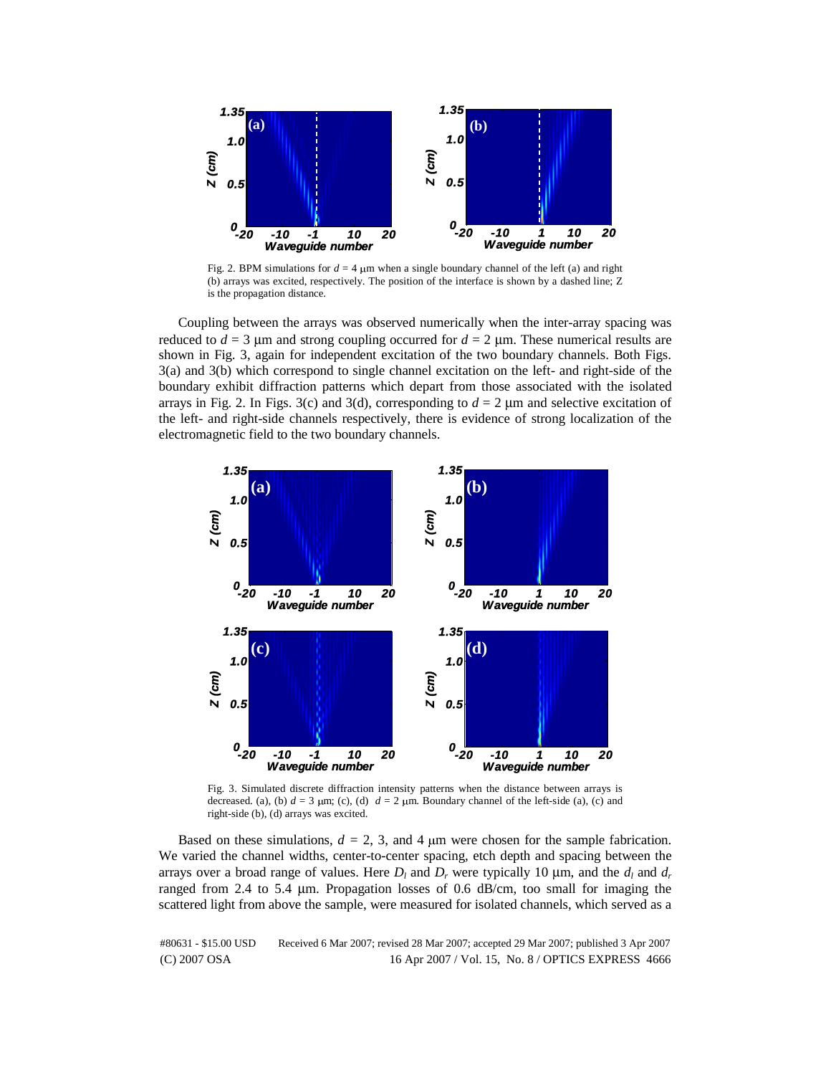

Fig. 2. BPM simulations for  $d = 4$  µm when a single boundary channel of the left (a) and right (b) arrays was excited, respectively. The position of the interface is shown by a dashed line; Z is the propagation distance.

Coupling between the arrays was observed numerically when the inter-array spacing was reduced to  $d = 3$  µm and strong coupling occurred for  $d = 2$  µm. These numerical results are shown in Fig. 3, again for independent excitation of the two boundary channels. Both Figs. 3(a) and 3(b) which correspond to single channel excitation on the left- and right-side of the boundary exhibit diffraction patterns which depart from those associated with the isolated arrays in Fig. 2. In Figs. 3(c) and 3(d), corresponding to  $d = 2 \mu m$  and selective excitation of the left- and right-side channels respectively, there is evidence of strong localization of the electromagnetic field to the two boundary channels.



Fig. 3. Simulated discrete diffraction intensity patterns when the distance between arrays is decreased. (a), (b)  $d = 3 \mu m$ ; (c), (d)  $d = 2 \mu m$ . Boundary channel of the left-side (a), (c) and right-side (b), (d) arrays was excited.

Based on these simulations,  $d = 2$ , 3, and 4  $\mu$ m were chosen for the sample fabrication. We varied the channel widths, center-to-center spacing, etch depth and spacing between the arrays over a broad range of values. Here  $D_l$  and  $D_r$  were typically 10  $\mu$ m, and the  $d_l$  and  $d_r$ ranged from 2.4 to 5.4 μm. Propagation losses of 0.6 dB/cm, too small for imaging the scattered light from above the sample, were measured for isolated channels, which served as a

(C) 2007 OSA 16 Apr 2007 / Vol. 15, No. 8 / OPTICS EXPRESS 4666 #80631 - \$15.00 USD Received 6 Mar 2007; revised 28 Mar 2007; accepted 29 Mar 2007; published 3 Apr 2007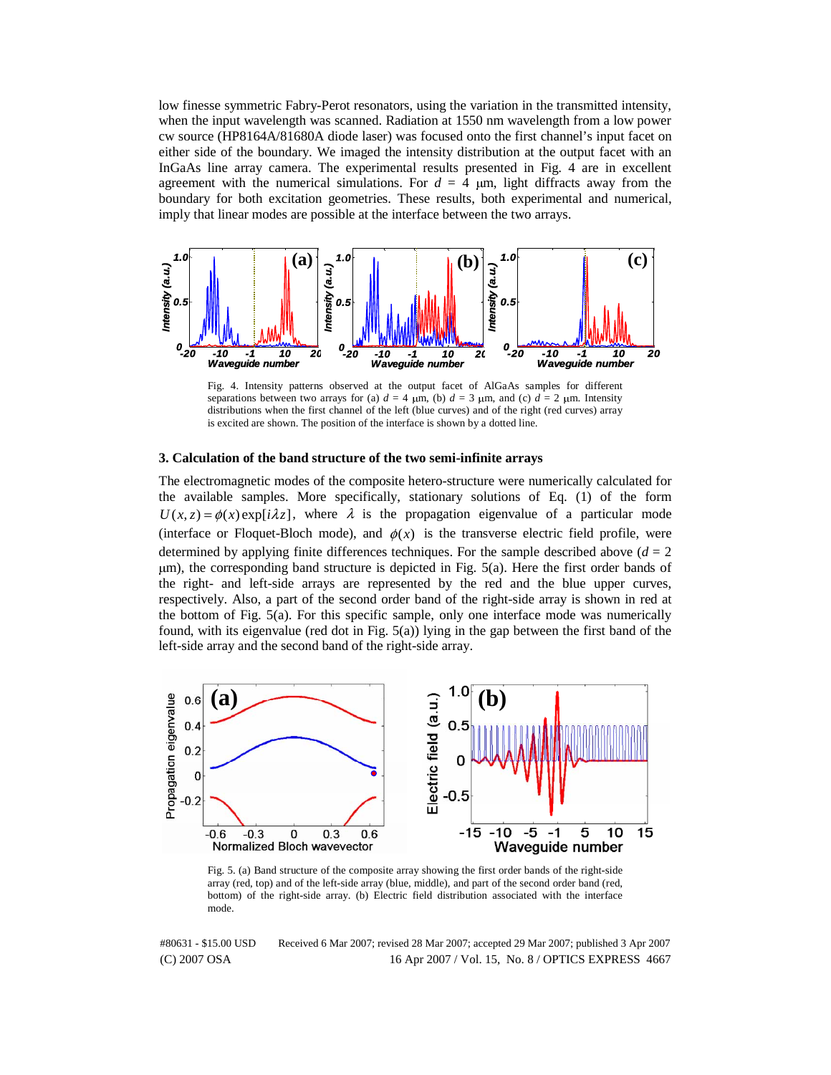low finesse symmetric Fabry-Perot resonators, using the variation in the transmitted intensity, when the input wavelength was scanned. Radiation at 1550 nm wavelength from a low power cw source (HP8164A/81680A diode laser) was focused onto the first channel's input facet on either side of the boundary. We imaged the intensity distribution at the output facet with an InGaAs line array camera. The experimental results presented in Fig. 4 are in excellent agreement with the numerical simulations. For  $d = 4 \mu m$ , light diffracts away from the boundary for both excitation geometries. These results, both experimental and numerical, imply that linear modes are possible at the interface between the two arrays.



Fig. 4. Intensity patterns observed at the output facet of AlGaAs samples for different separations between two arrays for (a)  $d = 4 \mu m$ , (b)  $d = 3 \mu m$ , and (c)  $d = 2 \mu m$ . Intensity distributions when the first channel of the left (blue curves) and of the right (red curves) array is excited are shown. The position of the interface is shown by a dotted line.

#### **3. Calculation of the band structure of the two semi-infinite arrays**

The electromagnetic modes of the composite hetero-structure were numerically calculated for the available samples. More specifically, stationary solutions of Eq. (1) of the form  $U(x, z) = \phi(x) \exp[i\lambda z]$ , where  $\lambda$  is the propagation eigenvalue of a particular mode (interface or Floquet-Bloch mode), and  $\phi(x)$  is the transverse electric field profile, were determined by applying finite differences techniques. For the sample described above  $(d = 2)$ <sup>μ</sup>m), the corresponding band structure is depicted in Fig. 5(a). Here the first order bands of the right- and left-side arrays are represented by the red and the blue upper curves, respectively. Also, a part of the second order band of the right-side array is shown in red at the bottom of Fig. 5(a). For this specific sample, only one interface mode was numerically found, with its eigenvalue (red dot in Fig.  $5(a)$ ) lying in the gap between the first band of the left-side array and the second band of the right-side array.



Fig. 5. (a) Band structure of the composite array showing the first order bands of the right-side array (red, top) and of the left-side array (blue, middle), and part of the second order band (red, bottom) of the right-side array. (b) Electric field distribution associated with the interface mode.

(C) 2007 OSA 16 Apr 2007 / Vol. 15, No. 8 / OPTICS EXPRESS 4667 #80631 - \$15.00 USD Received 6 Mar 2007; revised 28 Mar 2007; accepted 29 Mar 2007; published 3 Apr 2007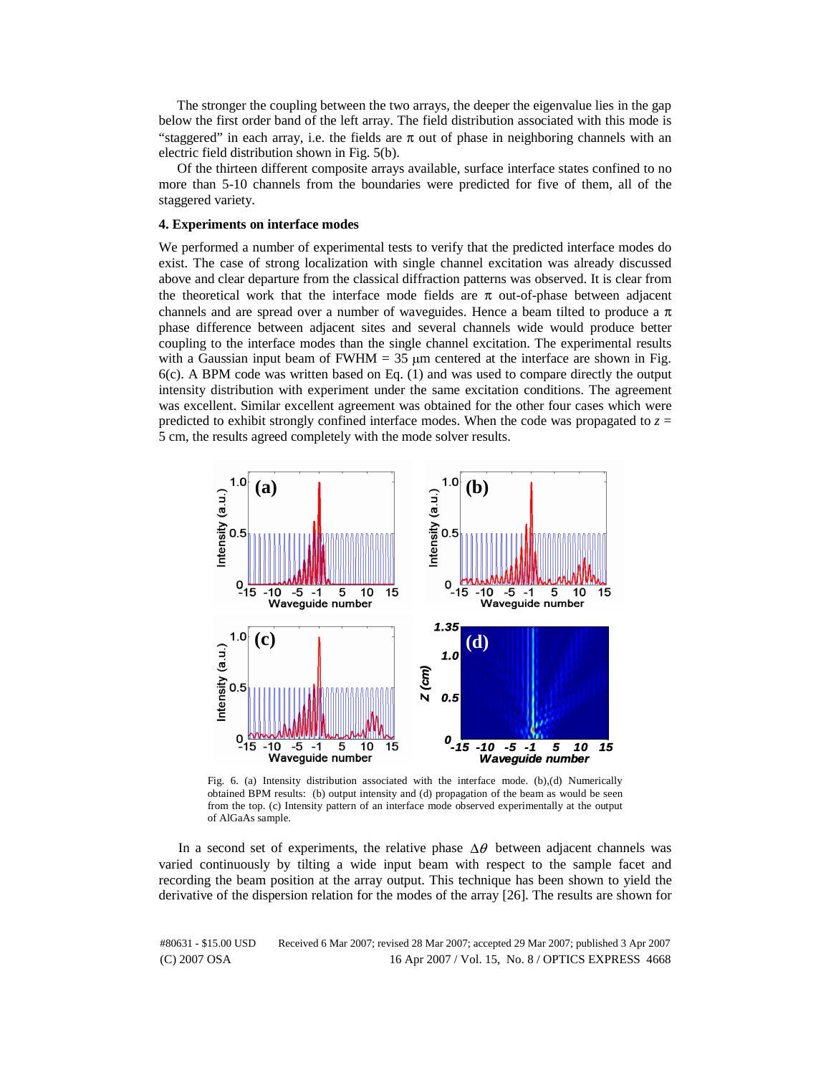The stronger the coupling between the two arrays, the deeper the eigenvalue lies in the gap below the first order band of the left array. The field distribution associated with this mode is "staggered" in each array, i.e. the fields are  $\pi$  out of phase in neighboring channels with an electric field distribution shown in Fig. 5(b).

Of the thirteen different composite arrays available, surface interface states confined to no more than 5-10 channels from the boundaries were predicted for five of them, all of the staggered variety.

## **4. Experiments on interface modes**

We performed a number of experimental tests to verify that the predicted interface modes do exist. The case of strong localization with single channel excitation was already discussed above and clear departure from the classical diffraction patterns was observed. It is clear from the theoretical work that the interface mode fields are  $\pi$  out-of-phase between adjacent channels and are spread over a number of waveguides. Hence a beam tilted to produce a  $\pi$ phase difference between adjacent sites and several channels wide would produce better coupling to the interface modes than the single channel excitation. The experimental results with a Gaussian input beam of FWHM =  $35 \mu$ m centered at the interface are shown in Fig. 6(c). A BPM code was written based on Eq. (1) and was used to compare directly the output intensity distribution with experiment under the same excitation conditions. The agreement was excellent. Similar excellent agreement was obtained for the other four cases which were predicted to exhibit strongly confined interface modes. When the code was propagated to  $z =$ 5 cm, the results agreed completely with the mode solver results.



Fig. 6. (a) Intensity distribution associated with the interface mode. (b),(d) Numerically obtained BPM results: (b) output intensity and (d) propagation of the beam as would be seen from the top. (c) Intensity pattern of an interface mode observed experimentally at the output of AlGaAs sample.

In a second set of experiments, the relative phase  $\Delta\theta$  between adjacent channels was varied continuously by tilting a wide input beam with respect to the sample facet and recording the beam position at the array output. This technique has been shown to yield the derivative of the dispersion relation for the modes of the array [26]. The results are shown for

(C) 2007 OSA 16 Apr 2007 / Vol. 15, No. 8 / OPTICS EXPRESS 4668 #80631 - \$15.00 USD Received 6 Mar 2007; revised 28 Mar 2007; accepted 29 Mar 2007; published 3 Apr 2007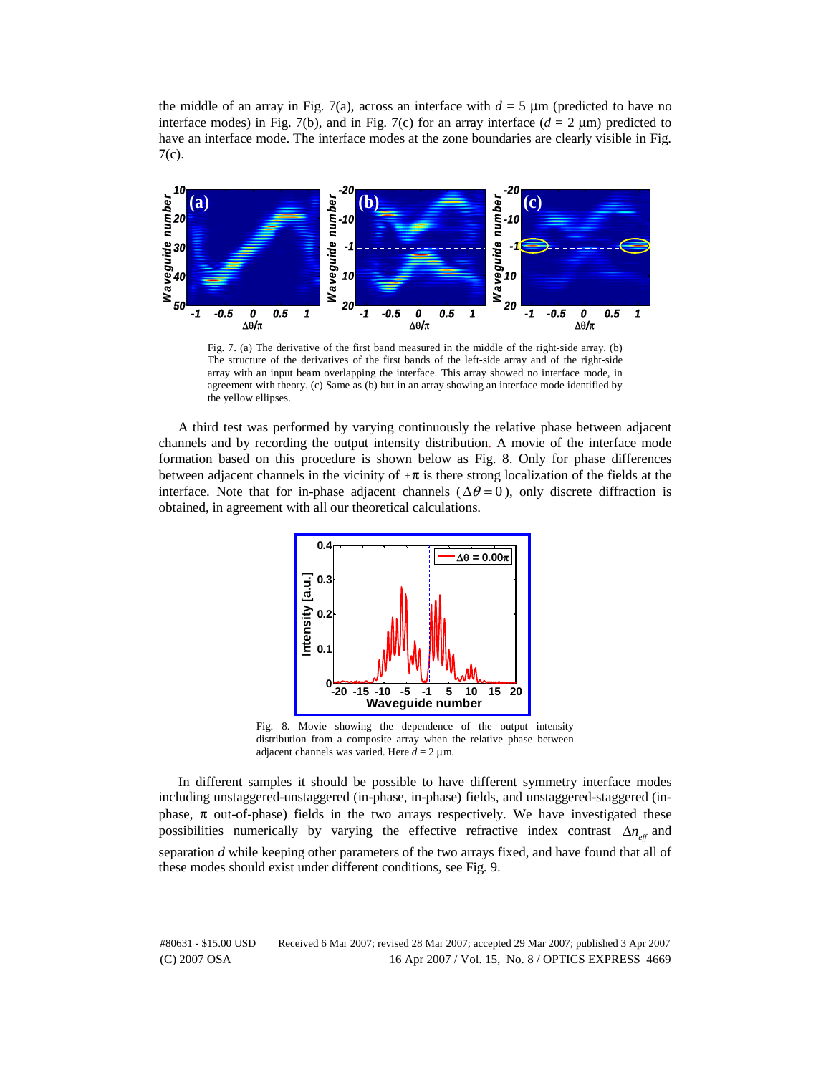the middle of an array in Fig. 7(a), across an interface with  $d = 5 \mu m$  (predicted to have no interface modes) in Fig. 7(b), and in Fig. 7(c) for an array interface  $(d = 2 \mu m)$  predicted to have an interface mode. The interface modes at the zone boundaries are clearly visible in Fig. 7(c).



Fig. 7. (a) The derivative of the first band measured in the middle of the right-side array. (b) The structure of the derivatives of the first bands of the left-side array and of the right-side array with an input beam overlapping the interface. This array showed no interface mode, in agreement with theory. (c) Same as (b) but in an array showing an interface mode identified by the yellow ellipses.

A third test was performed by varying continuously the relative phase between adjacent channels and by recording the output intensity distribution. A movie of the interface mode formation based on this procedure is shown below as Fig. 8. Only for phase differences between adjacent channels in the vicinity of  $\pm \pi$  is there strong localization of the fields at the interface. Note that for in-phase adjacent channels ( $\Delta \theta = 0$ ), only discrete diffraction is obtained, in agreement with all our theoretical calculations.



Fig. 8. Movie showing the dependence of the output intensity distribution from a composite array when the relative phase between adjacent channels was varied. Here  $d = 2 \mu m$ .

In different samples it should be possible to have different symmetry interface modes including unstaggered-unstaggered (in-phase, in-phase) fields, and unstaggered-staggered (inphase,  $\pi$  out-of-phase) fields in the two arrays respectively. We have investigated these possibilities numerically by varying the effective refractive index contrast  $\Delta n_{\text{eff}}$  and separation *d* while keeping other parameters of the two arrays fixed, and have found that all of these modes should exist under different conditions, see Fig. 9.

(C) 2007 OSA 16 Apr 2007 / Vol. 15, No. 8 / OPTICS EXPRESS 4669 #80631 - \$15.00 USD Received 6 Mar 2007; revised 28 Mar 2007; accepted 29 Mar 2007; published 3 Apr 2007